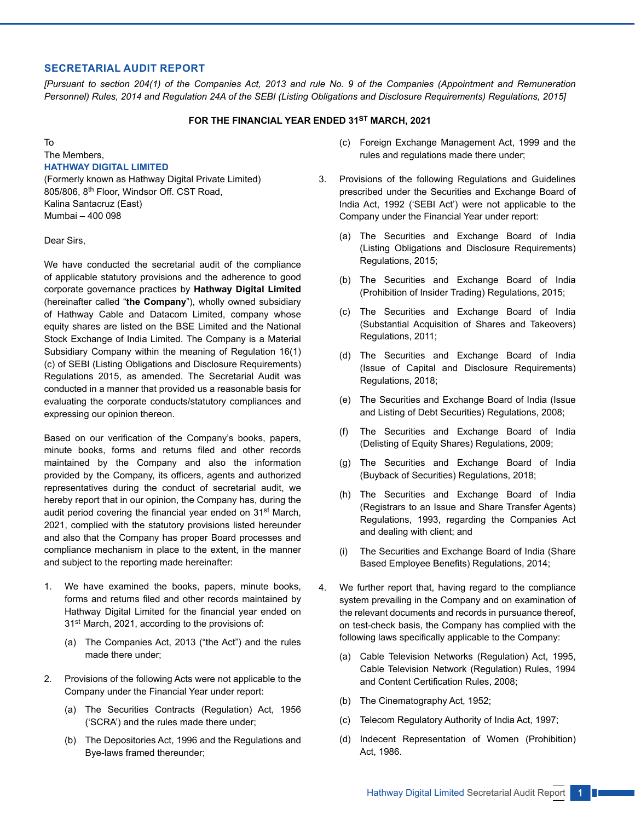#### **SECRETARIAL AUDIT REPORT**

*[Pursuant to section 204(1) of the Companies Act, 2013 and rule No. 9 of the Companies (Appointment and Remuneration Personnel) Rules, 2014 and Regulation 24A of the SEBI (Listing Obligations and Disclosure Requirements) Regulations, 2015]*

## **FOR THE FINANCIAL YEAR ENDED 31ST MARCH, 2021**

To

#### The Members, **HATHWAY DIGITAL LIMITED**

(Formerly known as Hathway Digital Private Limited) 805/806, 8th Floor, Windsor Off. CST Road, Kalina Santacruz (East) Mumbai – 400 098

Dear Sirs,

We have conducted the secretarial audit of the compliance of applicable statutory provisions and the adherence to good corporate governance practices by **Hathway Digital Limited**  (hereinafter called "**the Company**"), wholly owned subsidiary of Hathway Cable and Datacom Limited, company whose equity shares are listed on the BSE Limited and the National Stock Exchange of India Limited. The Company is a Material Subsidiary Company within the meaning of Regulation 16(1) (c) of SEBI (Listing Obligations and Disclosure Requirements) Regulations 2015, as amended. The Secretarial Audit was conducted in a manner that provided us a reasonable basis for evaluating the corporate conducts/statutory compliances and expressing our opinion thereon.

Based on our verification of the Company's books, papers, minute books, forms and returns filed and other records maintained by the Company and also the information provided by the Company, its officers, agents and authorized representatives during the conduct of secretarial audit, we hereby report that in our opinion, the Company has, during the audit period covering the financial year ended on 31<sup>st</sup> March, 2021, complied with the statutory provisions listed hereunder and also that the Company has proper Board processes and compliance mechanism in place to the extent, in the manner and subject to the reporting made hereinafter:

- 1. We have examined the books, papers, minute books, forms and returns filed and other records maintained by Hathway Digital Limited for the financial year ended on 31st March, 2021, according to the provisions of:
	- (a) The Companies Act, 2013 ("the Act") and the rules made there under;
- 2. Provisions of the following Acts were not applicable to the Company under the Financial Year under report:
	- (a) The Securities Contracts (Regulation) Act, 1956 ('SCRA') and the rules made there under;
	- (b) The Depositories Act, 1996 and the Regulations and Bye-laws framed thereunder;
- (c) Foreign Exchange Management Act, 1999 and the rules and regulations made there under;
- 3. Provisions of the following Regulations and Guidelines prescribed under the Securities and Exchange Board of India Act, 1992 ('SEBI Act') were not applicable to the Company under the Financial Year under report:
	- (a) The Securities and Exchange Board of India (Listing Obligations and Disclosure Requirements) Regulations, 2015;
	- (b) The Securities and Exchange Board of India (Prohibition of Insider Trading) Regulations, 2015;
	- (c) The Securities and Exchange Board of India (Substantial Acquisition of Shares and Takeovers) Regulations, 2011;
	- (d) The Securities and Exchange Board of India (Issue of Capital and Disclosure Requirements) Regulations, 2018;
	- (e) The Securities and Exchange Board of India (Issue and Listing of Debt Securities) Regulations, 2008;
	- (f) The Securities and Exchange Board of India (Delisting of Equity Shares) Regulations, 2009;
	- (g) The Securities and Exchange Board of India (Buyback of Securities) Regulations, 2018;
	- (h) The Securities and Exchange Board of India (Registrars to an Issue and Share Transfer Agents) Regulations, 1993, regarding the Companies Act and dealing with client; and
	- (i) The Securities and Exchange Board of India (Share Based Employee Benefits) Regulations, 2014;
- 4. We further report that, having regard to the compliance system prevailing in the Company and on examination of the relevant documents and records in pursuance thereof, on test-check basis, the Company has complied with the following laws specifically applicable to the Company:
	- (a) Cable Television Networks (Regulation) Act, 1995, Cable Television Network (Regulation) Rules, 1994 and Content Certification Rules, 2008;
	- (b) The Cinematography Act, 1952;
	- (c) Telecom Regulatory Authority of India Act, 1997;
	- (d) Indecent Representation of Women (Prohibition) Act, 1986.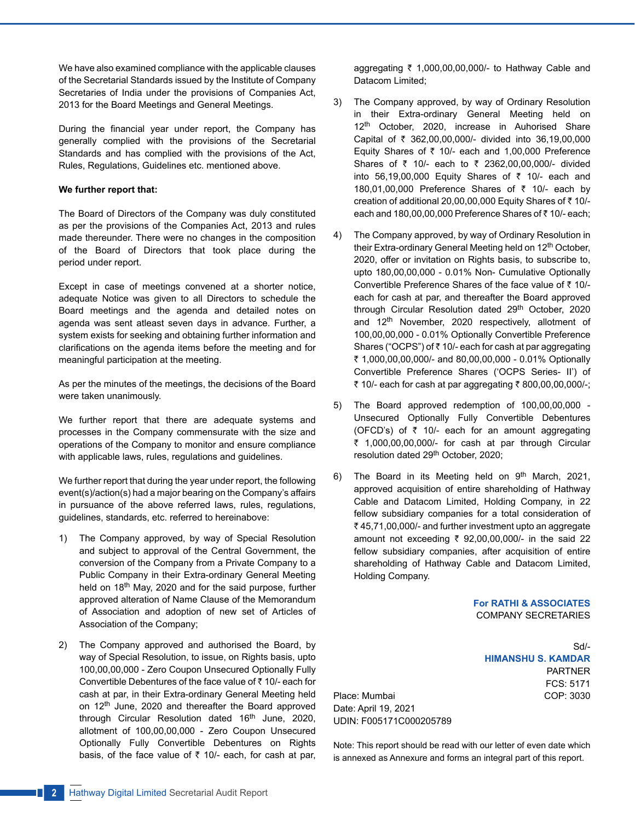We have also examined compliance with the applicable clauses of the Secretarial Standards issued by the Institute of Company Secretaries of India under the provisions of Companies Act, 2013 for the Board Meetings and General Meetings.

During the financial year under report, the Company has generally complied with the provisions of the Secretarial Standards and has complied with the provisions of the Act, Rules, Regulations, Guidelines etc. mentioned above.

#### **We further report that:**

The Board of Directors of the Company was duly constituted as per the provisions of the Companies Act, 2013 and rules made thereunder. There were no changes in the composition of the Board of Directors that took place during the period under report.

Except in case of meetings convened at a shorter notice, adequate Notice was given to all Directors to schedule the Board meetings and the agenda and detailed notes on agenda was sent atleast seven days in advance. Further, a system exists for seeking and obtaining further information and clarifications on the agenda items before the meeting and for meaningful participation at the meeting.

As per the minutes of the meetings, the decisions of the Board were taken unanimously.

We further report that there are adequate systems and processes in the Company commensurate with the size and operations of the Company to monitor and ensure compliance with applicable laws, rules, regulations and guidelines.

We further report that during the year under report, the following event(s)/action(s) had a major bearing on the Company's affairs in pursuance of the above referred laws, rules, regulations, guidelines, standards, etc. referred to hereinabove:

- 1) The Company approved, by way of Special Resolution and subject to approval of the Central Government, the conversion of the Company from a Private Company to a Public Company in their Extra-ordinary General Meeting held on 18<sup>th</sup> May, 2020 and for the said purpose, further approved alteration of Name Clause of the Memorandum of Association and adoption of new set of Articles of Association of the Company;
- 2) The Company approved and authorised the Board, by way of Special Resolution, to issue, on Rights basis, upto 100,00,00,000 - Zero Coupon Unsecured Optionally Fully Convertible Debentures of the face value of  $\bar{z}$  10/- each for cash at par, in their Extra-ordinary General Meeting held on 12<sup>th</sup> June, 2020 and thereafter the Board approved through Circular Resolution dated 16<sup>th</sup> June, 2020, allotment of 100,00,00,000 - Zero Coupon Unsecured Optionally Fully Convertible Debentures on Rights basis, of the face value of  $\bar{\tau}$  10/- each, for cash at par,

aggregating  $\bar{\tau}$  1,000,00,00,000/- to Hathway Cable and Datacom Limited;

- 3) The Company approved, by way of Ordinary Resolution in their Extra-ordinary General Meeting held on 12<sup>th</sup> October, 2020, increase in Auhorised Share Capital of  $\bar{\tau}$  362,00,00,000/- divided into 36,19,00,000 Equity Shares of  $\bar{\tau}$  10/- each and 1,00,000 Preference Shares of ₹ 10/- each to ₹ 2362,00,00,000/- divided into 56,19,00,000 Equity Shares of  $\bar{\tau}$  10/- each and 180,01,00,000 Preference Shares of  $\bar{\tau}$  10/- each by creation of additional 20,00,00,000 Equity Shares of  $\bar{\tau}$  10/each and 180,00,00,000 Preference Shares of  $\bar{z}$  10/- each:
- 4) The Company approved, by way of Ordinary Resolution in their Extra-ordinary General Meeting held on 12<sup>th</sup> October, 2020, offer or invitation on Rights basis, to subscribe to, upto 180,00,00,000 - 0.01% Non- Cumulative Optionally Convertible Preference Shares of the face value of  $\bar{z}$  10/each for cash at par, and thereafter the Board approved through Circular Resolution dated 29<sup>th</sup> October, 2020 and 12<sup>th</sup> November, 2020 respectively, allotment of 100,00,00,000 - 0.01% Optionally Convertible Preference Shares ("OCPS") of  $\bar{z}$  10/- each for cash at par aggregating ` 1,000,00,00,000/- and 80,00,00,000 - 0.01% Optionally Convertible Preference Shares ('OCPS Series- II') of ₹ 10/- each for cash at par aggregating  $\bar{x}$  800,00,00,000/-;
- 5) The Board approved redemption of 100,00,00,000 Unsecured Optionally Fully Convertible Debentures (OFCD's) of  $\bar{\tau}$  10/- each for an amount aggregating ₹ 1,000,00,00,000/- for cash at par through Circular resolution dated 29<sup>th</sup> October, 2020;
- 6) The Board in its Meeting held on  $9<sup>th</sup>$  March, 2021, approved acquisition of entire shareholding of Hathway Cable and Datacom Limited, Holding Company, in 22 fellow subsidiary companies for a total consideration of  $\bar{\tau}$  45,71,00,000/- and further investment upto an aggregate amount not exceeding  $\bar{\tau}$  92,00,00,000/- in the said 22 fellow subsidiary companies, after acquisition of entire shareholding of Hathway Cable and Datacom Limited, Holding Company.

**For RATHI & ASSOCIATES**  COMPANY SECRETARIES

> Sd/- **HIMANSHU S. KAMDAR**  PARTNER FCS: 5171

Place: Mumbai COP: 3030 Date: April 19, 2021 UDIN: F005171C000205789

Note: This report should be read with our letter of even date which is annexed as Annexure and forms an integral part of this report.